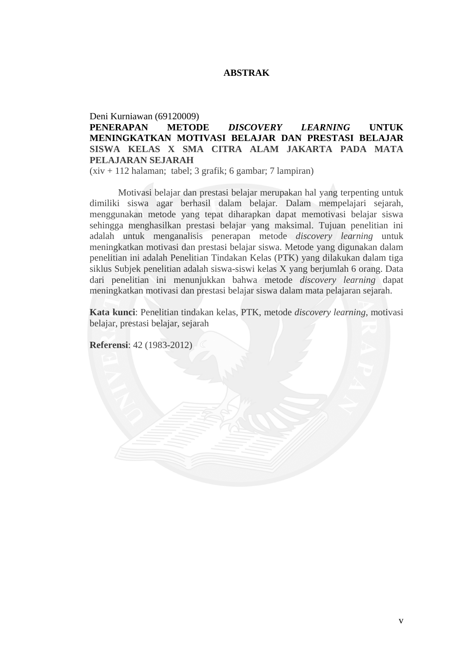#### **ABSTRAK**

#### Deni Kurniawan (69120009)

# **PENERAPAN METODE** *DISCOVERY LEARNING* **UNTUK MENINGKATKAN MOTIVASI BELAJAR DAN PRESTASI BELAJAR SISWA KELAS X SMA CITRA ALAM JAKARTA PADA MATA PELAJARAN SEJARAH**

(xiv + 112 halaman; tabel; 3 grafik; 6 gambar; 7 lampiran)

Motivasi belajar dan prestasi belajar merupakan hal yang terpenting untuk dimiliki siswa agar berhasil dalam belajar. Dalam mempelajari sejarah, menggunakan metode yang tepat diharapkan dapat memotivasi belajar siswa sehingga menghasilkan prestasi belajar yang maksimal. Tujuan penelitian ini adalah untuk menganalisis penerapan metode *discovery learning* untuk meningkatkan motivasi dan prestasi belajar siswa. Metode yang digunakan dalam penelitian ini adalah Penelitian Tindakan Kelas (PTK) yang dilakukan dalam tiga siklus Subjek penelitian adalah siswa-siswi kelas X yang berjumlah 6 orang. Data dari penelitian ini menunjukkan bahwa metode *discovery learning* dapat meningkatkan motivasi dan prestasi belajar siswa dalam mata pelajaran sejarah.

**Kata kunci**: Penelitian tindakan kelas, PTK, metode *discovery learning*, motivasi belajar, prestasi belajar, sejarah

**Referensi**: 42 (1983-2012)